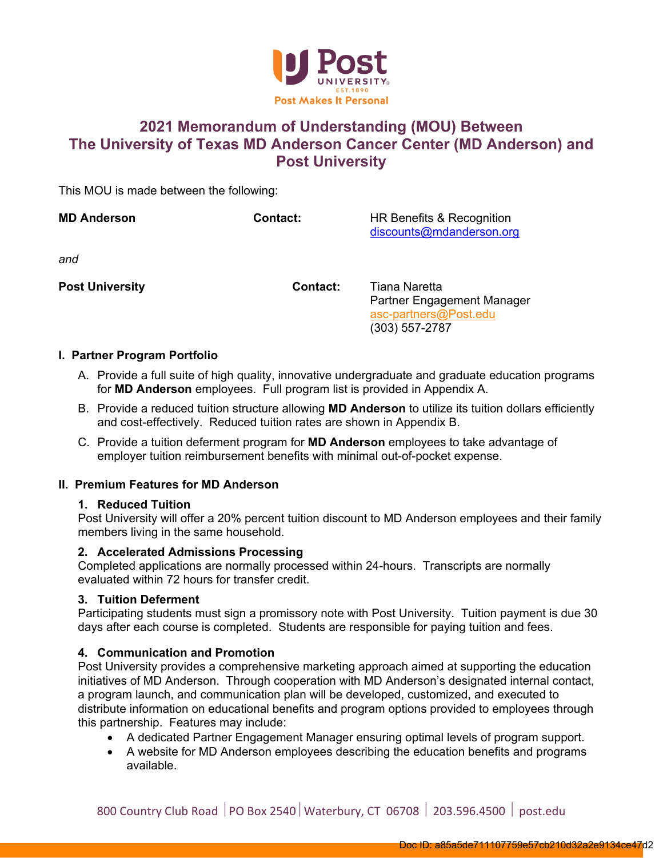

### **2021 Memorandum of Understanding (MOU) Between The University of Texas MD Anderson Cancer Center (MD Anderson) and Post University**

This MOU is made between the following:

| <b>MD Anderson</b>     | <b>Contact:</b> | HR Benefits & Recognition<br>discounts@mdanderson.org                                    |
|------------------------|-----------------|------------------------------------------------------------------------------------------|
| and                    |                 |                                                                                          |
| <b>Post University</b> | Contact:        | Tiana Naretta<br>Partner Engagement Manager<br>asc-partners@Post.edu<br>$(303)$ 557-2787 |

### **I. Partner Program Portfolio**

- A. Provide a full suite of high quality, innovative undergraduate and graduate education programs for **MD Anderson** employees. Full program list is provided in Appendix A.
- B. Provide a reduced tuition structure allowing **MD Anderson** to utilize its tuition dollars efficiently and cost-effectively. Reduced tuition rates are shown in Appendix B.
- C. Provide a tuition deferment program for **MD Anderson** employees to take advantage of employer tuition reimbursement benefits with minimal out-of-pocket expense.

### **II. Premium Features for MD Anderson**

### **1. Reduced Tuition**

Post University will offer a 20% percent tuition discount to MD Anderson employees and their family members living in the same household.

### **2. Accelerated Admissions Processing**

Completed applications are normally processed within 24-hours. Transcripts are normally evaluated within 72 hours for transfer credit.

### **3. Tuition Deferment**

Participating students must sign a promissory note with Post University. Tuition payment is due 30 days after each course is completed. Students are responsible for paying tuition and fees.

### **4. Communication and Promotion**

Post University provides a comprehensive marketing approach aimed at supporting the education initiatives of MD Anderson. Through cooperation with MD Anderson's designated internal contact, a program launch, and communication plan will be developed, customized, and executed to distribute information on educational benefits and program options provided to employees through this partnership. Features may include:

- A dedicated Partner Engagement Manager ensuring optimal levels of program support.
- A website for MD Anderson employees describing the education benefits and programs available.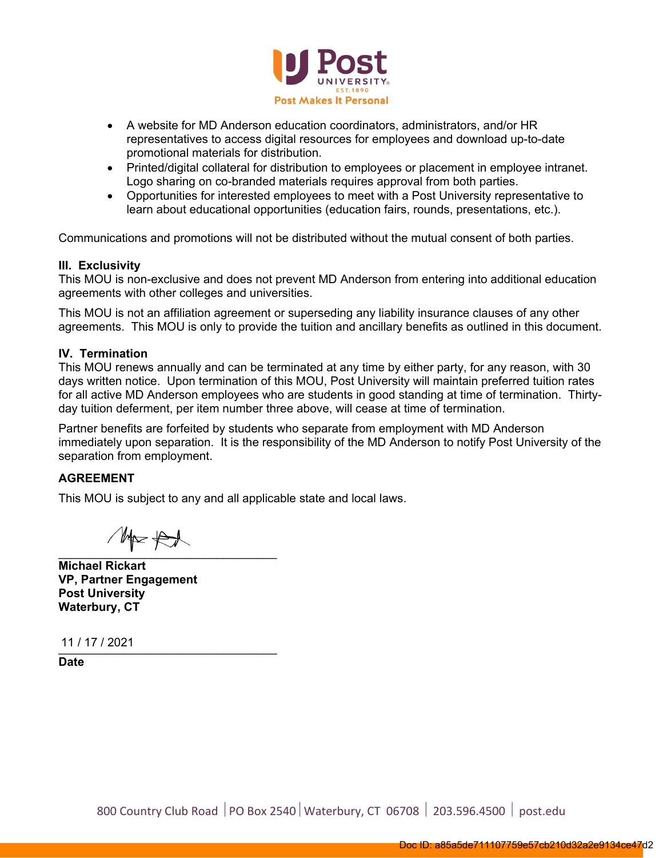

- A website for MD Anderson education coordinators, administrators, and/or HR representatives to access digital resources for employees and download up-to-date promotional materials for distribution.
- Printed/digital collateral for distribution to employees or placement in employee intranet. Logo sharing on co-branded materials requires approval from both parties.
- Opportunities for interested employees to meet with a Post University representative to learn about educational opportunities (education fairs, rounds, presentations, etc.).

Communications and promotions will not be distributed without the mutual consent of both parties.

### **III. Exclusivity**

This MOU is non-exclusive and does not prevent MD Anderson from entering into additional education agreements with other colleges and universities.

This MOU is not an affiliation agreement or superseding any liability insurance clauses of any other agreements. This MOU is only to provide the tuition and ancillary benefits as outlined in this document.

### **IV. Termination**

This MOU renews annually and can be terminated at any time by either party, for any reason, with 30 days written notice. Upon termination of this MOU, Post University will maintain preferred tuition rates for all active MD Anderson employees who are students in good standing at time of termination. Thirtyday tuition deferment, per item number three above, will cease at time of termination.

Partner benefits are forfeited by students who separate from employment with MD Anderson immediately upon separation. It is the responsibility of the MD Anderson to notify Post University of the separation from employment.

### **AGREEMENT**

This MOU is subject to any and all applicable state and local laws.

 $M \times \mathfrak{S}$  $\blacksquare$ 

**Michael Rickart VP, Partner Engagement Post University Waterbury, CT** 

\_\_\_\_\_\_\_\_\_\_\_\_\_\_\_\_\_\_\_\_\_\_\_\_\_\_\_\_\_\_\_\_\_ 11 / 17 / 2021

**Date**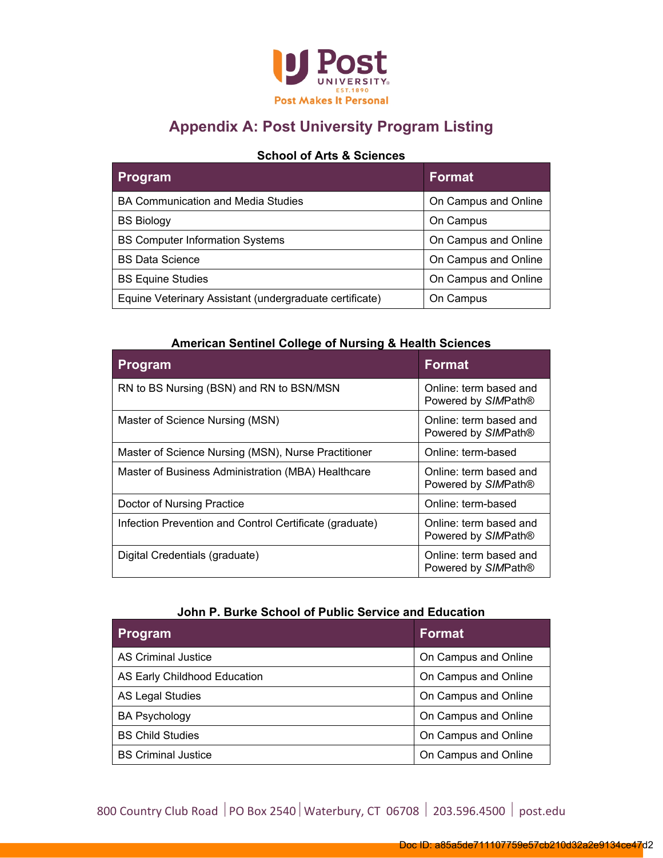

## **Appendix A: Post University Program Listing**

### **School of Arts & Sciences**

| <b>Program</b>                                          | <b>Format</b>        |
|---------------------------------------------------------|----------------------|
| BA Communication and Media Studies                      | On Campus and Online |
| <b>BS Biology</b>                                       | On Campus            |
| <b>BS Computer Information Systems</b>                  | On Campus and Online |
| <b>BS Data Science</b>                                  | On Campus and Online |
| <b>BS Equine Studies</b>                                | On Campus and Online |
| Equine Veterinary Assistant (undergraduate certificate) | On Campus            |

### **American Sentinel College of Nursing & Health Sciences**

| <b>Program</b>                                          | <b>Format</b>                                 |
|---------------------------------------------------------|-----------------------------------------------|
| RN to BS Nursing (BSN) and RN to BSN/MSN                | Online: term based and<br>Powered by SIMPath® |
| Master of Science Nursing (MSN)                         | Online: term based and<br>Powered by SIMPath® |
| Master of Science Nursing (MSN), Nurse Practitioner     | Online: term-based                            |
| Master of Business Administration (MBA) Healthcare      | Online: term based and<br>Powered by SIMPath® |
| Doctor of Nursing Practice                              | Online: term-based                            |
| Infection Prevention and Control Certificate (graduate) | Online: term based and<br>Powered by SIMPath® |
| Digital Credentials (graduate)                          | Online: term based and<br>Powered by SIMPath® |

### **John P. Burke School of Public Service and Education**

| Program                      | Format               |
|------------------------------|----------------------|
| AS Criminal Justice          | On Campus and Online |
| AS Early Childhood Education | On Campus and Online |
| <b>AS Legal Studies</b>      | On Campus and Online |
| <b>BA Psychology</b>         | On Campus and Online |
| <b>BS Child Studies</b>      | On Campus and Online |
| <b>BS Criminal Justice</b>   | On Campus and Online |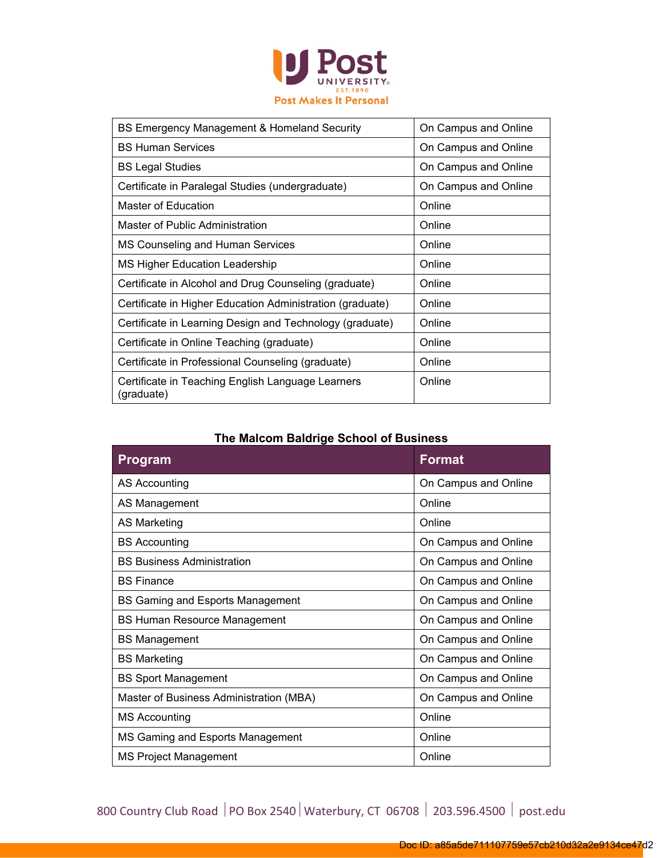

| BS Emergency Management & Homeland Security                     | On Campus and Online |
|-----------------------------------------------------------------|----------------------|
| <b>BS Human Services</b>                                        | On Campus and Online |
| <b>BS Legal Studies</b>                                         | On Campus and Online |
| Certificate in Paralegal Studies (undergraduate)                | On Campus and Online |
| Master of Education                                             | Online               |
| Master of Public Administration                                 | Online               |
| MS Counseling and Human Services                                | Online               |
| MS Higher Education Leadership                                  | Online               |
| Certificate in Alcohol and Drug Counseling (graduate)           | Online               |
| Certificate in Higher Education Administration (graduate)       | Online               |
| Certificate in Learning Design and Technology (graduate)        | Online               |
| Certificate in Online Teaching (graduate)                       | Online               |
| Certificate in Professional Counseling (graduate)               | Online               |
| Certificate in Teaching English Language Learners<br>(graduate) | Online               |

### **The Malcom Baldrige School of Business**

| <b>Program</b>                          | <b>Format</b>        |
|-----------------------------------------|----------------------|
| <b>AS Accounting</b>                    | On Campus and Online |
| AS Management                           | Online               |
| <b>AS Marketing</b>                     | Online               |
| <b>BS Accounting</b>                    | On Campus and Online |
| <b>BS Business Administration</b>       | On Campus and Online |
| <b>BS Finance</b>                       | On Campus and Online |
| BS Gaming and Esports Management        | On Campus and Online |
| <b>BS Human Resource Management</b>     | On Campus and Online |
| <b>BS Management</b>                    | On Campus and Online |
| <b>BS Marketing</b>                     | On Campus and Online |
| <b>BS Sport Management</b>              | On Campus and Online |
| Master of Business Administration (MBA) | On Campus and Online |
| <b>MS Accounting</b>                    | Online               |
| MS Gaming and Esports Management        | Online               |
| <b>MS Project Management</b>            | Online               |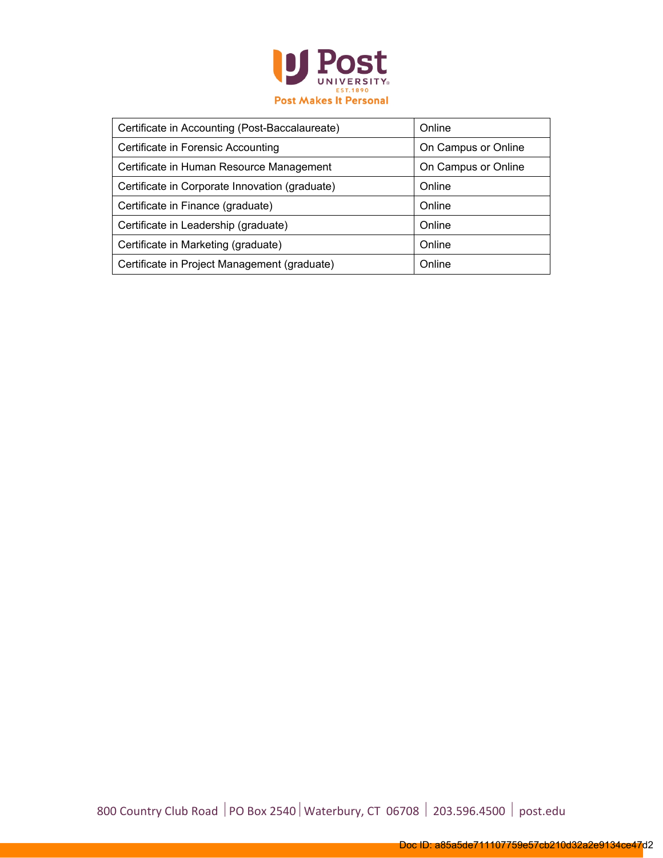

| Certificate in Accounting (Post-Baccalaureate) | Online              |
|------------------------------------------------|---------------------|
| Certificate in Forensic Accounting             | On Campus or Online |
| Certificate in Human Resource Management       | On Campus or Online |
| Certificate in Corporate Innovation (graduate) | Online              |
| Certificate in Finance (graduate)              | Online              |
| Certificate in Leadership (graduate)           | Online              |
| Certificate in Marketing (graduate)            | Online              |
| Certificate in Project Management (graduate)   | Online              |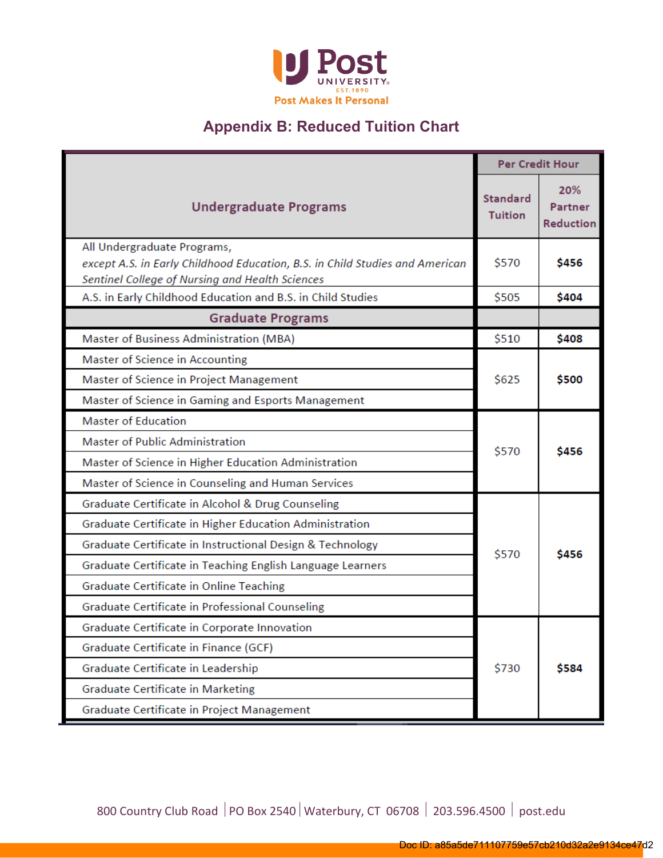

## **Appendix B: Reduced Tuition Chart**

|                                                                                                                                                                |                                   | <b>Per Credit Hour</b>                    |
|----------------------------------------------------------------------------------------------------------------------------------------------------------------|-----------------------------------|-------------------------------------------|
| <b>Undergraduate Programs</b>                                                                                                                                  | <b>Standard</b><br><b>Tuition</b> | 20%<br><b>Partner</b><br><b>Reduction</b> |
| All Undergraduate Programs,<br>except A.S. in Early Childhood Education, B.S. in Child Studies and American<br>Sentinel College of Nursing and Health Sciences | \$570                             | \$456                                     |
| A.S. in Early Childhood Education and B.S. in Child Studies                                                                                                    | \$505                             | \$404                                     |
| <b>Graduate Programs</b>                                                                                                                                       |                                   |                                           |
| Master of Business Administration (MBA)                                                                                                                        | \$510                             | \$408                                     |
| Master of Science in Accounting                                                                                                                                |                                   |                                           |
| Master of Science in Project Management                                                                                                                        | \$625                             | \$500                                     |
| Master of Science in Gaming and Esports Management                                                                                                             |                                   |                                           |
| <b>Master of Education</b>                                                                                                                                     |                                   |                                           |
| <b>Master of Public Administration</b>                                                                                                                         |                                   | \$456                                     |
| Master of Science in Higher Education Administration                                                                                                           | \$570                             |                                           |
| Master of Science in Counseling and Human Services                                                                                                             |                                   |                                           |
| Graduate Certificate in Alcohol & Drug Counseling                                                                                                              |                                   |                                           |
| Graduate Certificate in Higher Education Administration                                                                                                        |                                   |                                           |
| Graduate Certificate in Instructional Design & Technology                                                                                                      | \$570                             | \$456                                     |
| Graduate Certificate in Teaching English Language Learners                                                                                                     |                                   |                                           |
| Graduate Certificate in Online Teaching                                                                                                                        |                                   |                                           |
| Graduate Certificate in Professional Counseling                                                                                                                |                                   |                                           |
| Graduate Certificate in Corporate Innovation                                                                                                                   |                                   |                                           |
| Graduate Certificate in Finance (GCF)                                                                                                                          |                                   |                                           |
| Graduate Certificate in Leadership                                                                                                                             |                                   | \$584                                     |
| Graduate Certificate in Marketing                                                                                                                              |                                   |                                           |
| Graduate Certificate in Project Management                                                                                                                     |                                   |                                           |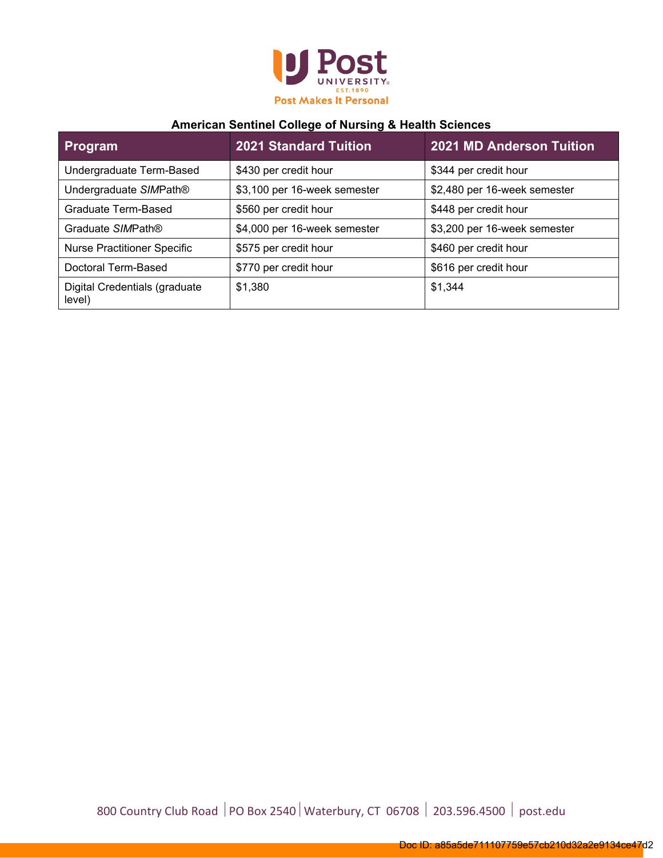

### **American Sentinel College of Nursing & Health Sciences**

| Program                                 | <b>2021 Standard Tuition</b> | <b>2021 MD Anderson Tuition</b> |
|-----------------------------------------|------------------------------|---------------------------------|
| Undergraduate Term-Based                | \$430 per credit hour        | \$344 per credit hour           |
| Undergraduate SIMPath®                  | \$3,100 per 16-week semester | \$2,480 per 16-week semester    |
| Graduate Term-Based                     | \$560 per credit hour        | \$448 per credit hour           |
| Graduate SIMPath®                       | \$4,000 per 16-week semester | \$3,200 per 16-week semester    |
| <b>Nurse Practitioner Specific</b>      | \$575 per credit hour        | \$460 per credit hour           |
| Doctoral Term-Based                     | \$770 per credit hour        | \$616 per credit hour           |
| Digital Credentials (graduate<br>level) | \$1,380                      | \$1,344                         |

800 Country Club Road | PO Box 2540 | Waterbury, CT 06708 | 203.596.4500 | post.edu